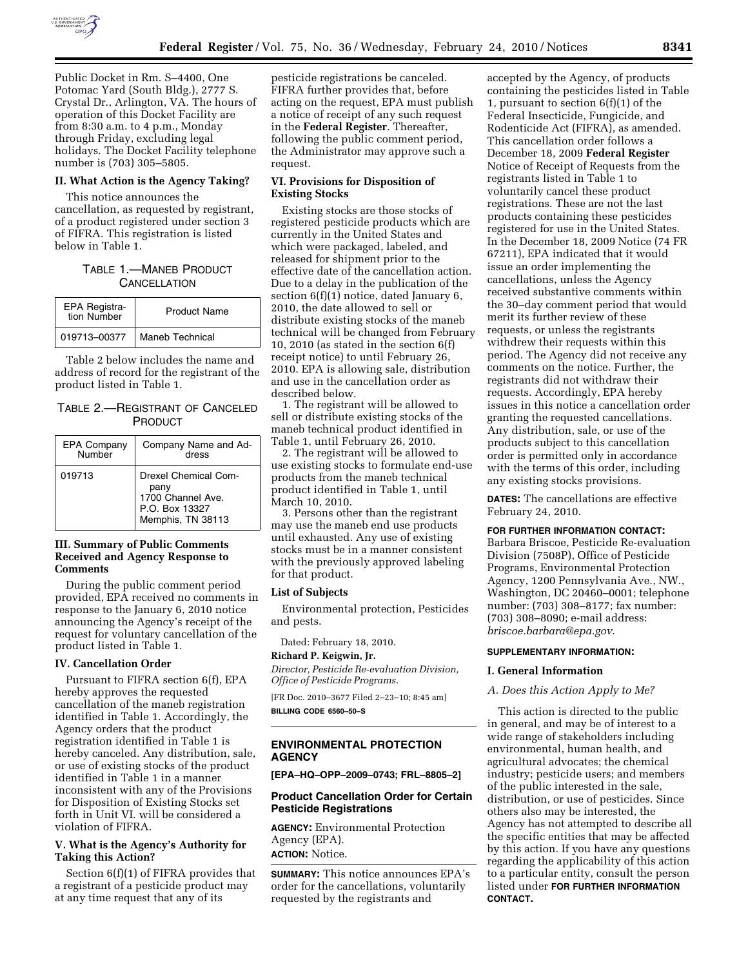

Public Docket in Rm. S–4400, One Potomac Yard (South Bldg.), 2777 S. Crystal Dr., Arlington, VA. The hours of operation of this Docket Facility are from 8:30 a.m. to 4 p.m., Monday through Friday, excluding legal holidays. The Docket Facility telephone number is (703) 305–5805.

### **II. What Action is the Agency Taking?**

This notice announces the cancellation, as requested by registrant, of a product registered under section 3 of FIFRA. This registration is listed below in Table 1.

## TABLE 1.—MANEB PRODUCT **CANCELLATION**

| EPA Registra-<br>tion Number | <b>Product Name</b> |
|------------------------------|---------------------|
| 019713-00377                 | Maneb Technical     |

Table 2 below includes the name and address of record for the registrant of the product listed in Table 1.

## TABLE 2.—REGISTRANT OF CANCELED PRODUCT

| EPA Company<br>Number | Company Name and Ad-<br>dress                                                                   |
|-----------------------|-------------------------------------------------------------------------------------------------|
| 019713                | <b>Drexel Chemical Com-</b><br>pany<br>1700 Channel Ave.<br>P.O. Box 13327<br>Memphis, TN 38113 |

### **III. Summary of Public Comments Received and Agency Response to Comments**

During the public comment period provided, EPA received no comments in response to the January 6, 2010 notice announcing the Agency's receipt of the request for voluntary cancellation of the product listed in Table 1.

## **IV. Cancellation Order**

Pursuant to FIFRA section 6(f), EPA hereby approves the requested cancellation of the maneb registration identified in Table 1. Accordingly, the Agency orders that the product registration identified in Table 1 is hereby canceled. Any distribution, sale, or use of existing stocks of the product identified in Table 1 in a manner inconsistent with any of the Provisions for Disposition of Existing Stocks set forth in Unit VI. will be considered a violation of FIFRA.

## **V. What is the Agency's Authority for Taking this Action?**

Section 6(f)(1) of FIFRA provides that a registrant of a pesticide product may at any time request that any of its

pesticide registrations be canceled. FIFRA further provides that, before acting on the request, EPA must publish a notice of receipt of any such request in the **Federal Register**. Thereafter, following the public comment period, the Administrator may approve such a request.

#### **VI. Provisions for Disposition of Existing Stocks**

Existing stocks are those stocks of registered pesticide products which are currently in the United States and which were packaged, labeled, and released for shipment prior to the effective date of the cancellation action. Due to a delay in the publication of the section  $6(f)(1)$  notice, dated January 6, 2010, the date allowed to sell or distribute existing stocks of the maneb technical will be changed from February 10, 2010 (as stated in the section 6(f) receipt notice) to until February 26, 2010. EPA is allowing sale, distribution and use in the cancellation order as described below.

1. The registrant will be allowed to sell or distribute existing stocks of the maneb technical product identified in Table 1, until February 26, 2010.

2. The registrant will be allowed to use existing stocks to formulate end-use products from the maneb technical product identified in Table 1, until March 10, 2010.

3. Persons other than the registrant may use the maneb end use products until exhausted. Any use of existing stocks must be in a manner consistent with the previously approved labeling for that product.

#### **List of Subjects**

Environmental protection, Pesticides and pests.

Dated: February 18, 2010.

## **Richard P. Keigwin, Jr.**

*Director, Pesticide Re-evaluation Division, Office of Pesticide Programs.* 

[FR Doc. 2010–3677 Filed 2–23–10; 8:45 am] **BILLING CODE 6560–50–S** 

## **ENVIRONMENTAL PROTECTION AGENCY**

**[EPA–HQ–OPP–2009–0743; FRL–8805–2]** 

### **Product Cancellation Order for Certain Pesticide Registrations**

**AGENCY:** Environmental Protection Agency (EPA). **ACTION:** Notice.

**SUMMARY:** This notice announces EPA's order for the cancellations, voluntarily requested by the registrants and

accepted by the Agency, of products containing the pesticides listed in Table 1, pursuant to section 6(f)(1) of the Federal Insecticide, Fungicide, and Rodenticide Act (FIFRA), as amended. This cancellation order follows a December 18, 2009 **Federal Register**  Notice of Receipt of Requests from the registrants listed in Table 1 to voluntarily cancel these product registrations. These are not the last products containing these pesticides registered for use in the United States. In the December 18, 2009 Notice (74 FR 67211), EPA indicated that it would issue an order implementing the cancellations, unless the Agency received substantive comments within the 30–day comment period that would merit its further review of these requests, or unless the registrants withdrew their requests within this period. The Agency did not receive any comments on the notice. Further, the registrants did not withdraw their requests. Accordingly, EPA hereby issues in this notice a cancellation order granting the requested cancellations. Any distribution, sale, or use of the products subject to this cancellation order is permitted only in accordance with the terms of this order, including any existing stocks provisions.

**DATES:** The cancellations are effective February 24, 2010.

#### **FOR FURTHER INFORMATION CONTACT:**

Barbara Briscoe, Pesticide Re-evaluation Division (7508P), Office of Pesticide Programs, Environmental Protection Agency, 1200 Pennsylvania Ave., NW., Washington, DC 20460–0001; telephone number: (703) 308–8177; fax number: (703) 308–8090; e-mail address: *briscoe.barbara@epa.gov*.

#### **SUPPLEMENTARY INFORMATION:**

#### **I. General Information**

## *A. Does this Action Apply to Me?*

This action is directed to the public in general, and may be of interest to a wide range of stakeholders including environmental, human health, and agricultural advocates; the chemical industry; pesticide users; and members of the public interested in the sale, distribution, or use of pesticides. Since others also may be interested, the Agency has not attempted to describe all the specific entities that may be affected by this action. If you have any questions regarding the applicability of this action to a particular entity, consult the person listed under **FOR FURTHER INFORMATION CONTACT.**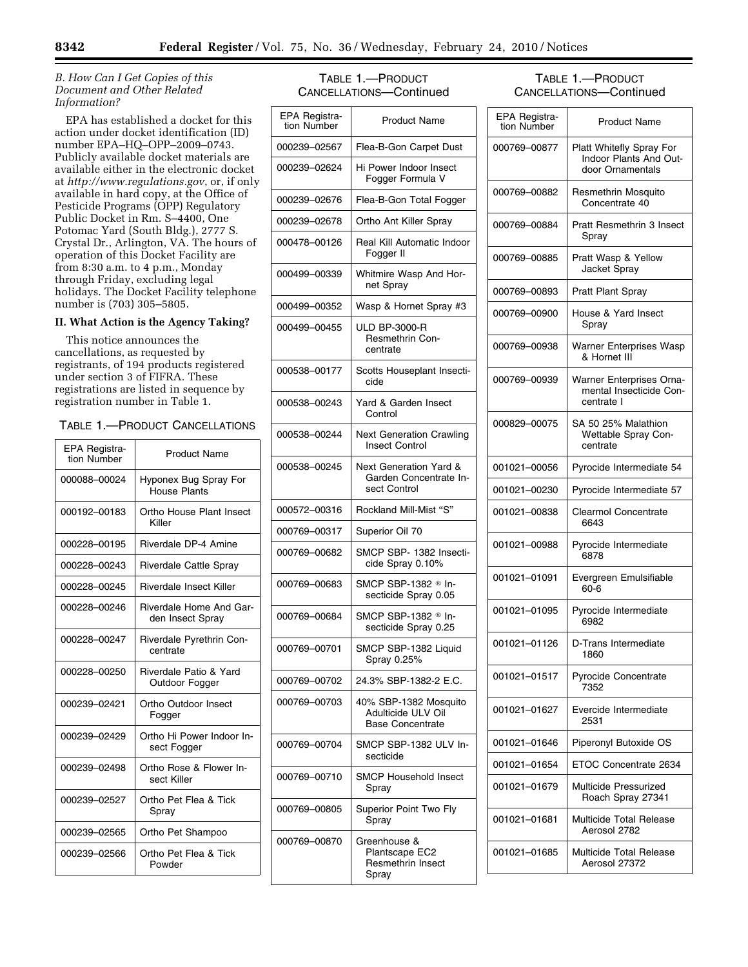## *B. How Can I Get Copies of this Document and Other Related Information?*

EPA has established a docket for this action under docket identification (ID) number EPA–HQ–OPP–2009–0743. Publicly available docket materials are available either in the electronic docket at *http://www.regulations.gov*, or, if only available in hard copy, at the Office of Pesticide Programs (OPP) Regulatory Public Docket in Rm. S–4400, One Potomac Yard (South Bldg.), 2777 S. Crystal Dr., Arlington, VA. The hours of operation of this Docket Facility are from 8:30 a.m. to 4 p.m., Monday through Friday, excluding legal holidays. The Docket Facility telephone number is (703) 305–5805.

## **II. What Action is the Agency Taking?**

This notice announces the cancellations, as requested by registrants, of 194 products registered under section 3 of FIFRA. These registrations are listed in sequence by registration number in Table 1.

# TABLE 1.—PRODUCT CANCELLATIONS

| EPA Registra-<br>tion Number | <b>Product Name</b>                                |
|------------------------------|----------------------------------------------------|
| 000088-00024                 | Hyponex Bug Spray For<br>House Plants              |
| 000192-00183                 | Ortho House Plant Insect<br>Killer                 |
| 000228-00195                 | Riverdale DP-4 Amine                               |
| 000228-00243                 | <b>Riverdale Cattle Spray</b>                      |
| 000228-00245                 | Riverdale Insect Killer                            |
| 000228-00246                 | <b>Riverdale Home And Gar-</b><br>den Insect Spray |
| 000228-00247                 | Riverdale Pyrethrin Con-<br>centrate               |
| 000228-00250                 | Riverdale Patio & Yard<br>Outdoor Fogger           |
| 000239-02421                 | Ortho Outdoor Insect<br>Fogger                     |
| 000239-02429                 | Ortho Hi Power Indoor In-<br>sect Fogger           |
| 000239-02498                 | Ortho Rose & Flower In-<br>sect Killer             |
| 000239-02527                 | Ortho Pet Flea & Tick<br>Spray                     |
| 000239-02565                 | Ortho Pet Shampoo                                  |
| 000239-02566                 | Ortho Pet Flea & Tick<br>Powder                    |

# TABLE 1.—PRODUCT CANCELLATIONS—Continued

| EPA Registra-<br>tion Number | <b>Product Name</b>                                                         |
|------------------------------|-----------------------------------------------------------------------------|
| 000239-02567                 | Flea-B-Gon Carpet Dust                                                      |
| 000239-02624                 | Hi Power Indoor Insect<br>Fogger Formula V                                  |
| 000239-02676                 | Flea-B-Gon Total Fogger                                                     |
| 000239-02678                 | Ortho Ant Killer Spray                                                      |
| 000478-00126                 | Real Kill Automatic Indoor<br>Fogger II                                     |
| 000499-00339                 | Whitmire Wasp And Hor-<br>net Spray                                         |
| 000499-00352                 | Wasp & Hornet Spray #3                                                      |
| 000499-00455                 | <b>ULD BP-3000-R</b><br><b>Resmethrin Con-</b><br>centrate                  |
| 000538-00177                 | Scotts Houseplant Insecti-<br>cide                                          |
| 000538-00243                 | Yard & Garden Insect<br>Control                                             |
| 000538-00244                 | <b>Next Generation Crawling</b><br><b>Insect Control</b>                    |
| 000538-00245                 | <b>Next Generation Yard &amp;</b><br>Garden Concentrate In-<br>sect Control |
| 000572-00316                 | Rockland Mill-Mist "S"                                                      |
| 000769-00317                 | Superior Oil 70                                                             |
| 000769-00682                 | SMCP SBP- 1382 Insecti-<br>cide Spray 0.10%                                 |
| 000769-00683                 | SMCP SBP-1382 ® In-<br>secticide Spray 0.05                                 |
| 000769-00684                 | SMCP SBP-1382 ® In-<br>secticide Spray 0.25                                 |
| 000769-00701                 | SMCP SBP-1382 Liquid<br>Spray 0.25%                                         |
| 000769-00702                 | 24.3% SBP-1382-2 E.C.                                                       |
| 000769-00703                 | 40% SBP-1382 Mosquito<br>Adulticide ULV Oil<br><b>Base Concentrate</b>      |
| 000769–00704                 | SMCP SBP-1382 ULV In-<br>secticide                                          |
| 000769-00710                 | <b>SMCP Household Insect</b><br>Spray                                       |
| 000769-00805                 | Superior Point Two Fly<br>Spray                                             |
| 000769-00870                 | Greenhouse &<br>Plantscape EC2<br><b>Resmethrin Insect</b><br>Spray         |

## TABLE 1.—PRODUCT CANCELLATIONS—Continued

| EPA Registra-<br>tion Number | <b>Product Name</b>                                                    |
|------------------------------|------------------------------------------------------------------------|
| 000769-00877                 | Platt Whitefly Spray For<br>Indoor Plants And Out-<br>door Ornamentals |
| 000769-00882                 | Resmethrin Mosquito<br>Concentrate 40                                  |
| 000769-00884                 | <b>Pratt Resmethrin 3 Insect</b><br>Spray                              |
| 000769-00885                 | Pratt Wasp & Yellow<br>Jacket Spray                                    |
| 000769-00893                 | <b>Pratt Plant Spray</b>                                               |
| 000769-00900                 | House & Yard Insect<br>Spray                                           |
| 000769-00938                 | Warner Enterprises Wasp<br>& Hornet III                                |
| 000769-00939                 | Warner Enterprises Orna-<br>mental Insecticide Con-<br>centrate I      |
| 000829-00075                 | SA 50 25% Malathion<br>Wettable Spray Con-<br>centrate                 |
| 001021-00056                 | Pyrocide Intermediate 54                                               |
| 001021-00230                 | Pyrocide Intermediate 57                                               |
| 001021-00838                 | <b>Clearmol Concentrate</b><br>6643                                    |
| 001021-00988                 | Pyrocide Intermediate<br>6878                                          |
| 001021-01091                 | Evergreen Emulsifiable<br>$60 - 6$                                     |
| 001021-01095                 | Pyrocide Intermediate<br>6982                                          |
| 001021-01126                 | D-Trans Intermediate<br>1860                                           |
| 001021-01517                 | <b>Pyrocide Concentrate</b><br>7352                                    |
| 001021-01627                 | Evercide Intermediate<br>2531                                          |
| 001021-01646                 | Piperonyl Butoxide OS                                                  |
| 001021-01654                 | ETOC Concentrate 2634                                                  |
| 001021-01679                 | Multicide Pressurized<br>Roach Spray 27341                             |
| 001021-01681                 | Multicide Total Release<br>Aerosol 2782                                |
| 001021-01685                 | Multicide Total Release<br>Aerosol 27372                               |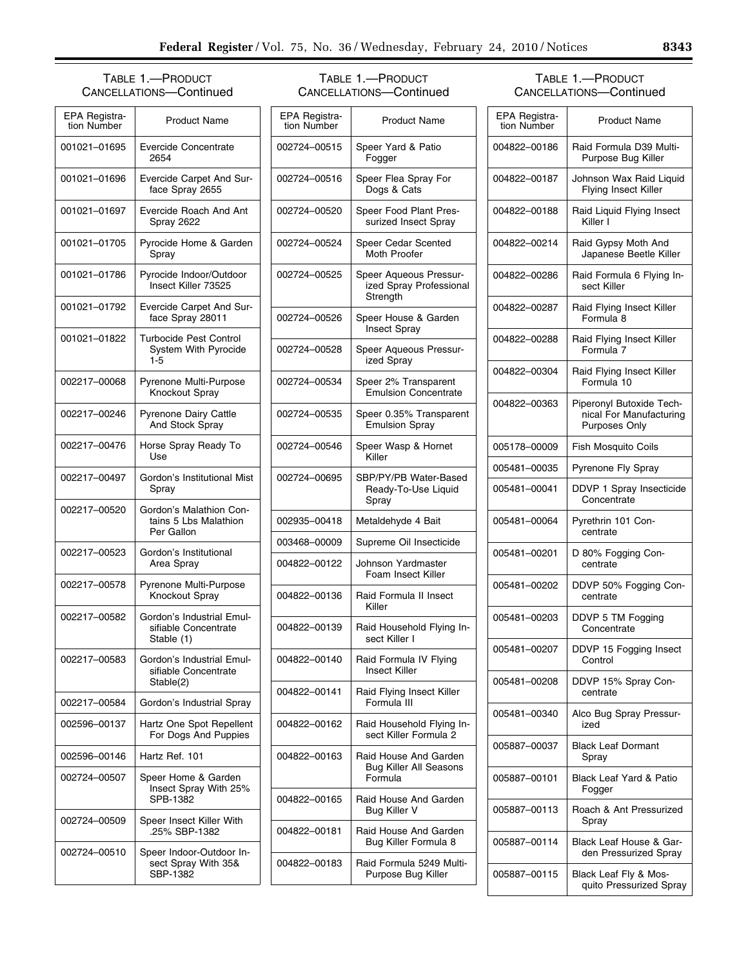# TABLE 1.—PRODUCT CANCELLATIONS—Continued

| EPA Registra-<br>tion Number | <b>Product Name</b>                                              |
|------------------------------|------------------------------------------------------------------|
| 001021-01695                 | Evercide Concentrate<br>2654                                     |
| 001021-01696                 | Evercide Carpet And Sur-<br>face Spray 2655                      |
| 001021-01697                 | Evercide Roach And Ant<br>Spray 2622                             |
| 001021-01705                 | Pyrocide Home & Garden<br>Spray                                  |
| 001021-01786                 | Pyrocide Indoor/Outdoor<br>Insect Killer 73525                   |
| 001021-01792                 | <b>Evercide Carpet And Sur-</b><br>face Spray 28011              |
| 001021-01822                 | Turbocide Pest Control<br><b>System With Pyrocide</b><br>$1 - 5$ |
| 002217-00068                 | Pyrenone Multi-Purpose<br>Knockout Spray                         |
| 002217-00246                 | Pyrenone Dairy Cattle<br>And Stock Spray                         |
| 002217-00476                 | Horse Spray Ready To<br>Use                                      |
| 002217-00497                 | Gordon's Institutional Mist<br>Spray                             |
| 002217-00520                 | Gordon's Malathion Con-<br>tains 5 Lbs Malathion<br>Per Gallon   |
| 002217-00523                 | Gordon's Institutional<br>Area Spray                             |
| 002217-00578                 | Pyrenone Multi-Purpose<br>Knockout Spray                         |
| 002217-00582                 | Gordon's Industrial Emul-<br>sifiable Concentrate<br>Stable (1)  |
| 002217-00583                 | Gordon's Industrial Emul-<br>sifiable Concentrate<br>Stable(2)   |
| 002217-00584                 | Gordon's Industrial Spray                                        |
| 002596-00137                 | Hartz One Spot Repellent<br>For Dogs And Puppies                 |
| 002596-00146                 | Hartz Ref. 101                                                   |
| 002724-00507                 | Speer Home & Garden<br>Insect Spray With 25%<br>SPB-1382         |
| 002724-00509                 | Speer Insect Killer With<br>.25% SBP-1382                        |
| 002724-00510                 | Speer Indoor-Outdoor In-<br>sect Spray With 35&<br>SBP-1382      |

# TABLE 1.—PRODUCT CANCELLATIONS—Continued

| EPA Registra-<br>tion Number | <b>Product Name</b>                                               |
|------------------------------|-------------------------------------------------------------------|
| 002724-00515                 | Speer Yard & Patio<br>Fogger                                      |
| 002724-00516                 | Speer Flea Spray For<br>Dogs & Cats                               |
| 002724-00520                 | Speer Food Plant Pres-<br>surized Insect Spray                    |
| 002724-00524                 | Speer Cedar Scented<br>Moth Proofer                               |
| 002724-00525                 | Speer Aqueous Pressur-<br>ized Spray Professional<br>Strength     |
| 002724-00526                 | Speer House & Garden<br><b>Insect Spray</b>                       |
| 002724-00528                 | Speer Aqueous Pressur-<br>ized Spray                              |
| 002724-00534                 | Speer 2% Transparent<br><b>Emulsion Concentrate</b>               |
| 002724-00535                 | Speer 0.35% Transparent<br><b>Emulsion Spray</b>                  |
| 002724-00546                 | Speer Wasp & Hornet<br>Killer                                     |
| 002724-00695                 | SBP/PY/PB Water-Based<br>Ready-To-Use Liquid<br>Spray             |
| 002935-00418                 | Metaldehyde 4 Bait                                                |
| 003468-00009                 | Supreme Oil Insecticide                                           |
| 004822-00122                 | Johnson Yardmaster<br>Foam Insect Killer                          |
| 004822-00136                 | Raid Formula II Insect<br>Killer                                  |
| 004822-00139                 | Raid Household Flying In-<br>sect Killer I                        |
| 004822-00140                 | Raid Formula IV Flying<br><b>Insect Killer</b>                    |
| 004822–00141                 | Raid Flying Insect Killer<br>Formula III                          |
| 004822-00162                 | Raid Household Flying In-<br>sect Killer Formula 2                |
| 004822-00163                 | Raid House And Garden<br><b>Bug Killer All Seasons</b><br>Formula |
| 004822-00165                 | Raid House And Garden<br>Bug Killer V                             |
| 004822-00181                 | Raid House And Garden<br>Bug Killer Formula 8                     |
| 004822-00183                 | Raid Formula 5249 Multi-<br>Purpose Bug Killer                    |

## TABLE 1.—PRODUCT CANCELLATIONS—Continued

| EPA Registra-<br>tion Number | <b>Product Name</b>                                                         |
|------------------------------|-----------------------------------------------------------------------------|
| 004822-00186                 | Raid Formula D39 Multi-<br>Purpose Bug Killer                               |
| 004822-00187                 | Johnson Wax Raid Liquid<br><b>Flying Insect Killer</b>                      |
| 004822-00188                 | Raid Liquid Flying Insect<br>Killer I                                       |
| 004822-00214                 | Raid Gypsy Moth And<br>Japanese Beetle Killer                               |
| 004822-00286                 | Raid Formula 6 Flying In-<br>sect Killer                                    |
| 004822-00287                 | Raid Flying Insect Killer<br>Formula 8                                      |
| 004822-00288                 | Raid Flying Insect Killer<br>Formula 7                                      |
| 004822-00304                 | Raid Flying Insect Killer<br>Formula 10                                     |
| 004822-00363                 | Piperonyl Butoxide Tech-<br>nical For Manufacturing<br><b>Purposes Only</b> |
| 005178-00009                 | <b>Fish Mosquito Coils</b>                                                  |
| 005481-00035                 | Pyrenone Fly Spray                                                          |
| 005481-00041                 | DDVP 1 Spray Insecticide<br>Concentrate                                     |
| 005481-00064                 | Pyrethrin 101 Con-<br>centrate                                              |
| 005481-00201                 | D 80% Fogging Con-<br>centrate                                              |
| 005481-00202                 | DDVP 50% Fogging Con-<br>centrate                                           |
| 005481-00203                 | DDVP 5 TM Fogging<br>Concentrate                                            |
| 005481-00207                 | DDVP 15 Fogging Insect<br>Control                                           |
| 005481-00208                 | DDVP 15% Spray Con-<br>centrate                                             |
| 005481-00340                 | Alco Bug Spray Pressur-<br>ized                                             |
| 005887-00037                 | <b>Black Leaf Dormant</b><br>Spray                                          |
| 005887-00101                 | <b>Black Leaf Yard &amp; Patio</b><br>Fogger                                |
| 005887-00113                 | Roach & Ant Pressurized<br>Spray                                            |
| 005887-00114                 | Black Leaf House & Gar-<br>den Pressurized Spray                            |
| 005887-00115                 | Black Leaf Fly & Mos-<br>quito Pressurized Spray                            |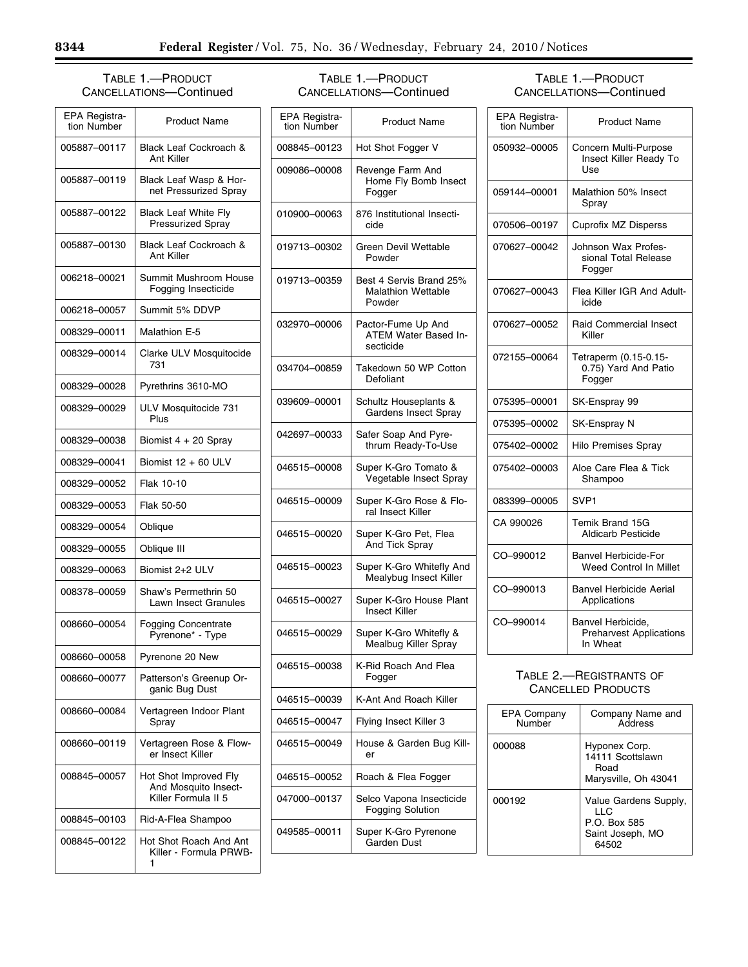## TABLE 1.—PRODUCT CANCELLATIONS—Continued

| EPA Registra-<br>tion Number | <b>Product Name</b>                                                  |
|------------------------------|----------------------------------------------------------------------|
| 005887-00117                 | Black Leaf Cockroach &<br>Ant Killer                                 |
| 005887-00119                 | Black Leaf Wasp & Hor-<br>net Pressurized Spray                      |
| 005887-00122                 | <b>Black Leaf White Fly</b><br><b>Pressurized Spray</b>              |
| 005887-00130                 | <b>Black Leaf Cockroach &amp;</b><br>Ant Killer                      |
| 006218-00021                 | Summit Mushroom House<br>Fogging Insecticide                         |
| 006218-00057                 | Summit 5% DDVP                                                       |
| 008329-00011                 | Malathion E-5                                                        |
| 008329-00014                 | Clarke ULV Mosquitocide<br>731                                       |
| 008329-00028                 | Pyrethrins 3610-MO                                                   |
| 008329-00029                 | ULV Mosquitocide 731<br>Plus                                         |
| 008329-00038                 | Biomist 4 + 20 Spray                                                 |
| 008329-00041                 | Biomist 12 + 60 ULV                                                  |
| 008329-00052                 | Flak 10-10                                                           |
| 008329-00053                 | Flak 50-50                                                           |
| 008329-00054                 | Oblique                                                              |
| 008329-00055                 | Oblique III                                                          |
| 008329-00063                 | Biomist 2+2 ULV                                                      |
| 008378-00059                 | Shaw's Permethrin 50<br>Lawn Insect Granules                         |
| 008660-00054                 | <b>Fogging Concentrate</b><br>Pyrenone* - Type                       |
| 008660-00058                 | Pyrenone 20 New                                                      |
| 008660-00077                 | Patterson's Greenup Or-<br>ganic Bug Dust                            |
| 008660-00084                 | Vertagreen Indoor Plant<br>Spray                                     |
| 008660-00119                 | Vertagreen Rose & Flow-<br>er Insect Killer                          |
| 008845-00057                 | Hot Shot Improved Fly<br>And Mosquito Insect-<br>Killer Formula II 5 |
| 008845-00103                 | Rid-A-Flea Shampoo                                                   |
| 008845-00122                 | Hot Shot Roach And Ant<br>Killer - Formula PRWB-<br>1                |

# TABLE 1.—PRODUCT CANCELLATIONS—Continued

| EPA Registra-<br>tion Number | <b>Product Name</b>                                            |
|------------------------------|----------------------------------------------------------------|
| 008845-00123                 | Hot Shot Fogger V                                              |
| 009086-00008                 | Revenge Farm And<br>Home Fly Bomb Insect<br>Fogger             |
| 010900-00063                 | 876 Institutional Insecti-<br>cide                             |
| 019713-00302                 | Green Devil Wettable<br>Powder                                 |
| 019713-00359                 | Best 4 Servis Brand 25%<br><b>Malathion Wettable</b><br>Powder |
| 032970-00006                 | Pactor-Fume Up And<br>ATEM Water Based In-<br>secticide        |
| 034704-00859                 | Takedown 50 WP Cotton<br>Defoliant                             |
| 039609-00001                 | Schultz Houseplants &<br><b>Gardens Insect Spray</b>           |
| 042697-00033                 | Safer Soap And Pyre-<br>thrum Ready-To-Use                     |
| 046515-00008                 | Super K-Gro Tomato &<br>Vegetable Insect Spray                 |
| 046515-00009                 | Super K-Gro Rose & Flo-<br>ral Insect Killer                   |
| 046515-00020                 | Super K-Gro Pet, Flea<br>And Tick Spray                        |
| 046515-00023                 | Super K-Gro Whitefly And<br>Mealybug Insect Killer             |
| 046515-00027                 | Super K-Gro House Plant<br><b>Insect Killer</b>                |
| 046515-00029                 | Super K-Gro Whitefly &<br>Mealbug Killer Spray                 |
| 046515-00038                 | K-Rid Roach And Flea<br>Fogger                                 |
| 046515-00039                 | K-Ant And Roach Killer                                         |
| 046515-00047                 | Flying Insect Killer 3                                         |
| 046515-00049                 | House & Garden Bug Kill-<br>er                                 |
| 046515-00052                 | Roach & Flea Fogger                                            |
| 047000-00137                 | Selco Vapona Insecticide<br><b>Fogging Solution</b>            |
| 049585–00011                 | Super K-Gro Pyrenone<br>Garden Dust                            |

# TABLE 1.—PRODUCT CANCELLATIONS—Continued

| EPA Registra-<br>tion Number | <b>Product Name</b>                                             |
|------------------------------|-----------------------------------------------------------------|
| 050932-00005                 | Concern Multi-Purpose<br>Insect Killer Ready To<br>Use          |
| 059144-00001                 | Malathion 50% Insect<br>Spray                                   |
| 070506-00197                 | <b>Cuprofix MZ Disperss</b>                                     |
| 070627-00042                 | Johnson Wax Profes-<br>sional Total Release<br>Fogger           |
| 070627-00043                 | Flea Killer IGR And Adult-<br>icide                             |
| 070627-00052                 | <b>Raid Commercial Insect</b><br>Killer                         |
| 072155-00064                 | Tetraperm (0.15-0.15-<br>0.75) Yard And Patio<br>Fogger         |
| 075395-00001                 | SK-Ensprav 99                                                   |
| 075395-00002                 | SK-Enspray N                                                    |
| 075402-00002                 | <b>Hilo Premises Spray</b>                                      |
| 075402-00003                 | Aloe Care Flea & Tick<br>Shampoo                                |
| 083399-00005                 | SVP <sub>1</sub>                                                |
| CA 990026                    | Temik Brand 15G<br>Aldicarb Pesticide                           |
| CO-990012                    | <b>Banvel Herbicide-For</b><br>Weed Control In Millet           |
| CO-990013                    | <b>Banvel Herbicide Aerial</b><br>Applications                  |
| CO-990014                    | Banvel Herbicide,<br><b>Preharvest Applications</b><br>In Wheat |

## TABLE 2.—REGISTRANTS OF CANCELLED PRODUCTS

| <b>EPA Company</b><br>Number | Company Name and<br>Address                                               |
|------------------------------|---------------------------------------------------------------------------|
| 000088                       | Hyponex Corp.<br>14111 Scottslawn<br>Road<br>Marysville, Oh 43041         |
| 000192                       | Value Gardens Supply,<br>H C<br>P.O. Box 585<br>Saint Joseph, MO<br>64502 |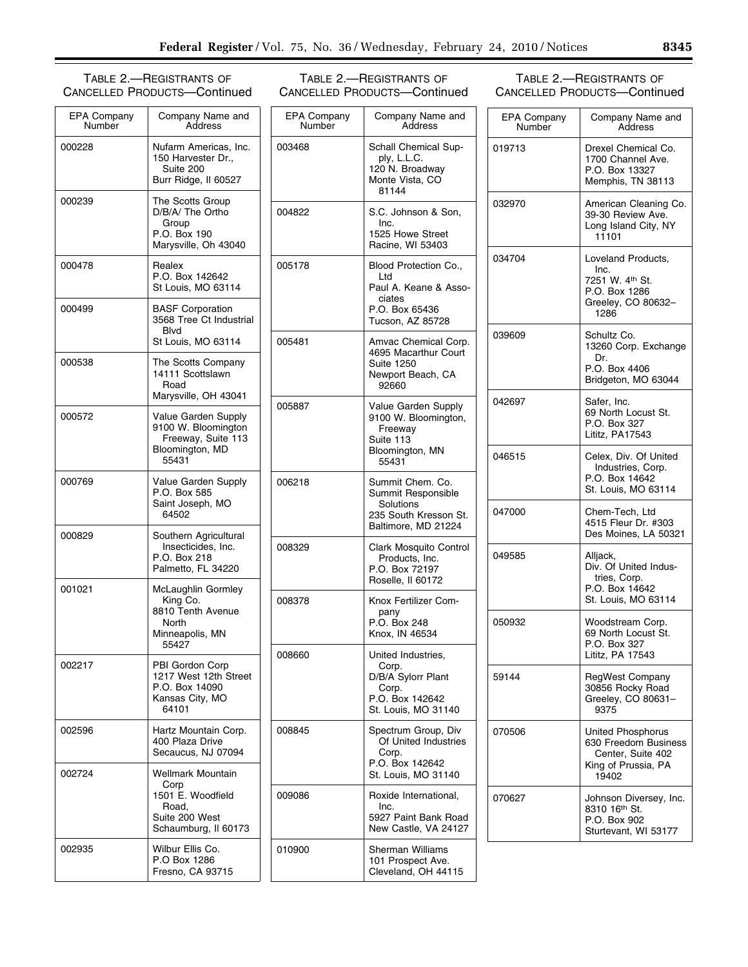## TABLE 2.—REGISTRANTS OF CANCELLED PRODUCTS—Continued

| <b>EPA Company</b><br>Number | Company Name and<br>Address                                                                       |  |
|------------------------------|---------------------------------------------------------------------------------------------------|--|
| 000228                       | Nufarm Americas, Inc.<br>150 Harvester Dr.,<br>Suite 200<br>Burr Ridge, II 60527                  |  |
| 000239                       | The Scotts Group<br>D/B/A/ The Ortho<br>Group<br>P.O. Box 190<br>Marysville, Oh 43040             |  |
| 000478                       | Realex<br>P.O. Box 142642<br>St Louis, MO 63114                                                   |  |
| 000499                       | <b>BASF Corporation</b><br>3568 Tree Ct Industrial<br>Blvd<br>St Louis, MO 63114                  |  |
| 000538                       | The Scotts Company<br>14111 Scottslawn<br>Road<br>Marysville, OH 43041                            |  |
| 000572                       | Value Garden Supply<br>9100 W. Bloomington<br>Freeway, Suite 113<br>Bloomington, MD<br>55431      |  |
| 000769                       | Value Garden Supply<br>P.O. Box 585<br>Saint Joseph, MO<br>64502                                  |  |
| 000829                       | Southern Agricultural<br>Insecticides, Inc.<br>P.O. Box 218<br>Palmetto, FL 34220                 |  |
| 001021                       | McLaughlin Gormley<br>King Co.<br>8810 Tenth Avenue<br>North<br>Minneapolis, MN<br>55427          |  |
| 002217                       | PBI Gordon Corp<br>1217 West 12th Street<br>P.O. Box 14090<br>Kansas City, MO<br>64101            |  |
| 002596                       | Hartz Mountain Corp.<br>400 Plaza Drive<br>Secaucus, NJ 07094                                     |  |
| 002724                       | Wellmark Mountain<br>Corp<br>1501 E. Woodfield<br>Road.<br>Suite 200 West<br>Schaumburg, II 60173 |  |
| 002935                       | Wilbur Ellis Co.<br>P.O Box 1286<br>Fresno, CA 93715                                              |  |

## TABLE 2.—REGISTRANTS OF CANCELLED PRODUCTS—Continued

## EPA Company **Number** Company Name and Address 003468 | Schall Chemical Supply, L.L.C. 120 N. Broadway Monte Vista, CO 81144 004822 | S.C. Johnson & Son, Inc. 1525 Howe Street Racine, WI 53403 005178 Blood Protection Co., Ltd Paul A. Keane & Associates P.O. Box 65436 Tucson, AZ 85728 005481 Amvac Chemical Corp. 4695 Macarthur Court Suite 1250 Newport Beach, CA 92660 005887 Value Garden Supply 9100 W. Bloomington, Freeway Suite 113 Bloomington, MN 55431 006218 | Summit Chem. Co. Summit Responsible Solutions 235 South Kresson St. Baltimore, MD 21224 008329 Clark Mosquito Control Products, Inc. P.O. Box 72197 Roselle, Il 60172 008378 Knox Fertilizer Company P.O. Box 248 Knox, IN 46534 008660 United Industries, Corp. D/B/A Sylorr Plant Corp. P.O. Box 142642 St. Louis, MO 31140 008845 | Spectrum Group, Div Of United Industries Corp. P.O. Box 142642 St. Louis, MO 31140 009086 Roxide International, Inc. 5927 Paint Bank Road New Castle, VA 24127 010900 Sherman Williams 101 Prospect Ave. Cleveland, OH 44115

TABLE 2.—REGISTRANTS OF CANCELLED PRODUCTS—Continued

| EPA Company<br>Number | Company Name and<br>Address                                                                           |
|-----------------------|-------------------------------------------------------------------------------------------------------|
| 019713                | Drexel Chemical Co.<br>1700 Channel Ave.<br>P.O. Box 13327<br>Memphis, TN 38113                       |
| 032970                | American Cleaning Co.<br>39-30 Review Ave.<br>Long Island City, NY<br>11101                           |
| 034704                | Loveland Products,<br>Inc.<br>7251 W. 4th St.<br>P.O. Box 1286<br>Greeley, CO 80632-<br>1286          |
| 039609                | Schultz Co.<br>13260 Corp. Exchange<br>Dr.<br>P.O. Box 4406<br>Bridgeton, MO 63044                    |
| 042697                | Safer, Inc.<br>69 North Locust St.<br>P.O. Box 327<br>Lititz, PA17543                                 |
| 046515                | Celex, Div. Of United<br>Industries, Corp.<br>P.O. Box 14642<br>St. Louis, MO 63114                   |
| 047000                | Chem-Tech, Ltd<br>4515 Fleur Dr. #303<br>Des Moines, LA 50321                                         |
| 049585                | Alljack,<br>Div. Of United Indus-<br>tries, Corp.<br>P.O. Box 14642<br>St. Louis, MO 63114            |
| 050932                | Woodstream Corp.<br>69 North Locust St.<br>P.O. Box 327<br>Lititz, PA 17543                           |
| 59144                 | <b>RegWest Company</b><br>30856 Rocky Road<br>Greeley, CO 80631-<br>9375                              |
| 070506                | <b>United Phosphorus</b><br>630 Freedom Business<br>Center, Suite 402<br>King of Prussia, PA<br>19402 |
| 070627                | Johnson Diversey, Inc.<br>8310 16th St.<br>P.O. Box 902<br>Sturtevant, WI 53177                       |